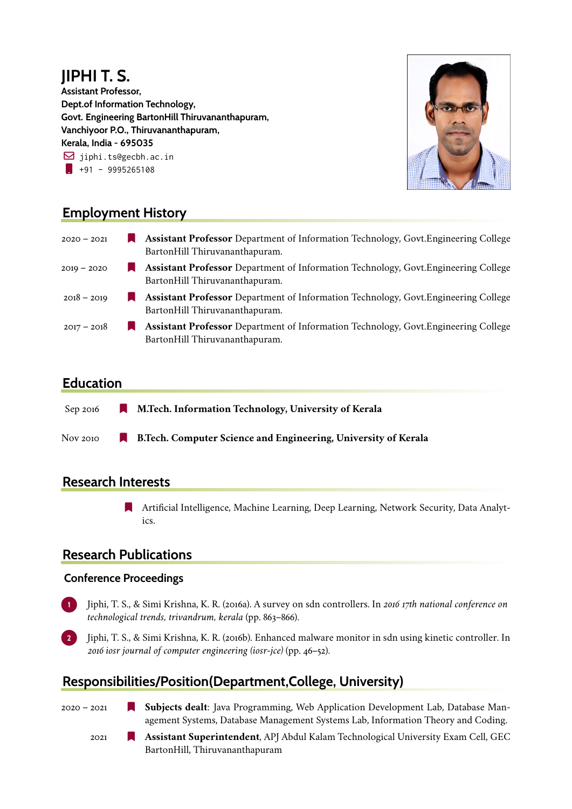# **JIPHI T. S.**

**Assistant Professor, Dept.of Information Technology, Govt. Engineering BartonHill Thiruvananthapuram, Vanchiyoor P.O., Thiruvananthapuram, Kerala, India - 695035**  $\boxdot$  jiphi.ts@gecbh.ac.in  $\frac{1}{1}$  +91 - 9995265108



## **Employment History**

| $2020 - 2021$ | <b>Assistant Professor</b> Department of Information Technology, Govt. Engineering College<br>BartonHill Thiruvananthapuram. |
|---------------|------------------------------------------------------------------------------------------------------------------------------|
| $2019 - 2020$ | <b>Assistant Professor</b> Department of Information Technology, Govt. Engineering College<br>BartonHill Thiruvananthapuram. |
| $2018 - 2019$ | <b>Assistant Professor</b> Department of Information Technology, Govt. Engineering College<br>BartonHill Thiruvananthapuram. |
| $2017 - 2018$ | <b>Assistant Professor</b> Department of Information Technology, Govt. Engineering College<br>BartonHill Thiruvananthapuram. |

#### **Education**

| Sep 2016 | M.Tech. Information Technology, University of Kerala<br>a ka           |
|----------|------------------------------------------------------------------------|
| Nov 2010 | <b>B. Tech. Computer Science and Engineering, University of Kerala</b> |

### **Research Interests**

[ Artificial Intelligence, Machine Learning, Deep Learning, Network Security, Data Analytics.

### **Research Publications**

#### **Conference Proceedings**

- **1** Jiphi, T. S., & Simi Krishna, K. R. (2016a). A survey on sdn controllers. In *2016 17th national conference on technological trends, trivandrum, kerala* (pp. 863–866).
- **2** Jiphi, T. S., & Simi Krishna, K. R. (2016b). Enhanced malware monitor in sdn using kinetic controller. In *2016 iosr journal of computer engineering (iosr-jce)* (pp. 46–52).

# **Responsibilities/Position(Department,College, University)**

- 2020 2021 [ **Subjects dealt**: Java Programming, Web Application Development Lab, Database Management Systems, Database Management Systems Lab, Information Theory and Coding.
	-
	- 2021 [ **Assistant Superintendent**, APJ Abdul Kalam Technological University Exam Cell, GEC BartonHill, Thiruvananthapuram